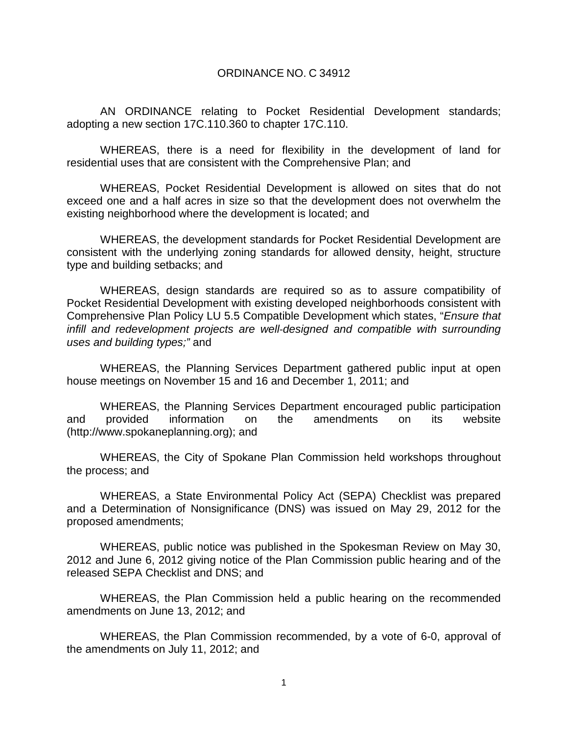## ORDINANCE NO. C 34912

AN ORDINANCE relating to Pocket Residential Development standards; adopting a new section 17C.110.360 to chapter 17C.110.

WHEREAS, there is a need for flexibility in the development of land for residential uses that are consistent with the Comprehensive Plan; and

WHEREAS, Pocket Residential Development is allowed on sites that do not exceed one and a half acres in size so that the development does not overwhelm the existing neighborhood where the development is located; and

WHEREAS, the development standards for Pocket Residential Development are consistent with the underlying zoning standards for allowed density, height, structure type and building setbacks; and

WHEREAS, design standards are required so as to assure compatibility of Pocket Residential Development with existing developed neighborhoods consistent with Comprehensive Plan Policy LU 5.5 Compatible Development which states, "*Ensure that infill and redevelopment projects are well‐designed and compatible with surrounding uses and building types;"* and

WHEREAS, the Planning Services Department gathered public input at open house meetings on November 15 and 16 and December 1, 2011; and

WHEREAS, the Planning Services Department encouraged public participation and provided information on the amendments on its website (http://www.spokaneplanning.org); and

WHEREAS, the City of Spokane Plan Commission held workshops throughout the process; and

WHEREAS, a State Environmental Policy Act (SEPA) Checklist was prepared and a Determination of Nonsignificance (DNS) was issued on May 29, 2012 for the proposed amendments;

WHEREAS, public notice was published in the Spokesman Review on May 30, 2012 and June 6, 2012 giving notice of the Plan Commission public hearing and of the released SEPA Checklist and DNS; and

WHEREAS, the Plan Commission held a public hearing on the recommended amendments on June 13, 2012; and

WHEREAS, the Plan Commission recommended, by a vote of 6-0, approval of the amendments on July 11, 2012; and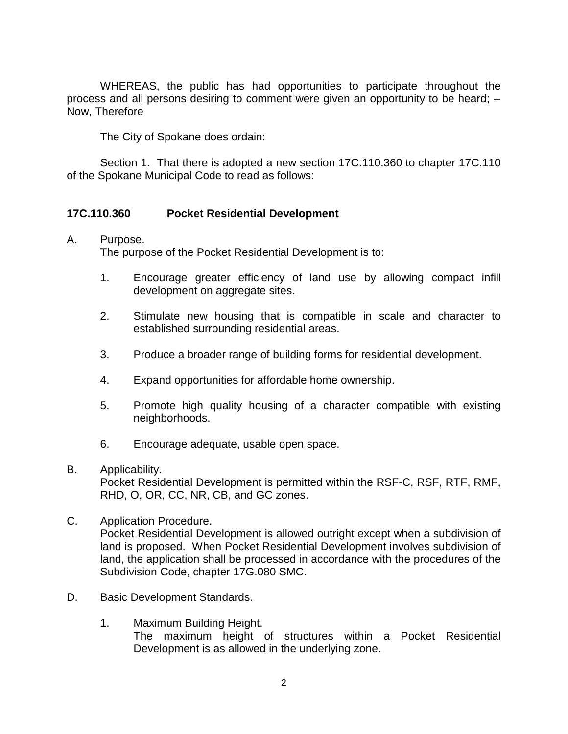WHEREAS, the public has had opportunities to participate throughout the process and all persons desiring to comment were given an opportunity to be heard; -- Now, Therefore

The City of Spokane does ordain:

Section 1. That there is adopted a new section 17C.110.360 to chapter 17C.110 of the Spokane Municipal Code to read as follows:

## **17C.110.360 Pocket Residential Development**

## A. Purpose.

The purpose of the Pocket Residential Development is to:

- 1. Encourage greater efficiency of land use by allowing compact infill development on aggregate sites.
- 2. Stimulate new housing that is compatible in scale and character to established surrounding residential areas.
- 3. Produce a broader range of building forms for residential development.
- 4. Expand opportunities for affordable home ownership.
- 5. Promote high quality housing of a character compatible with existing neighborhoods.
- 6. Encourage adequate, usable open space.
- B. Applicability.

Pocket Residential Development is permitted within the RSF-C, RSF, RTF, RMF, RHD, O, OR, CC, NR, CB, and GC zones.

C. Application Procedure.

Pocket Residential Development is allowed outright except when a subdivision of land is proposed. When Pocket Residential Development involves subdivision of land, the application shall be processed in accordance with the procedures of the Subdivision Code, chapter 17G.080 SMC.

- D. Basic Development Standards.
	- 1. Maximum Building Height. The maximum height of structures within a Pocket Residential Development is as allowed in the underlying zone.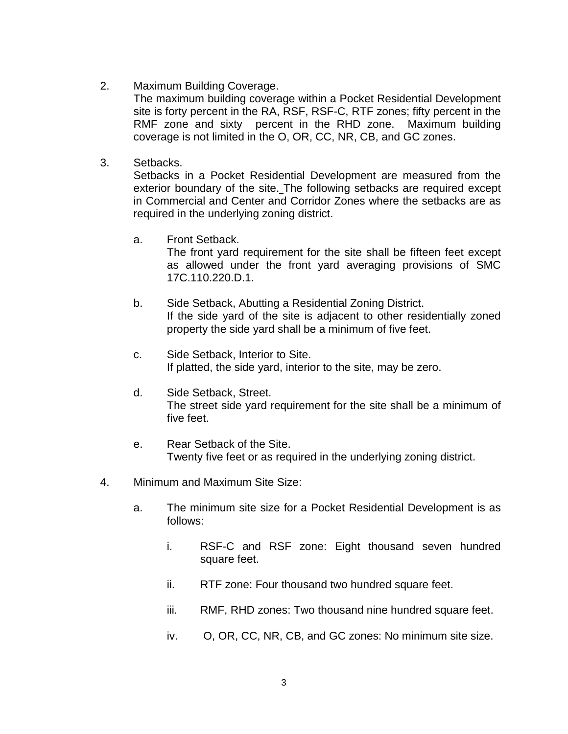2. Maximum Building Coverage.

The maximum building coverage within a Pocket Residential Development site is forty percent in the RA, RSF, RSF-C, RTF zones; fifty percent in the RMF zone and sixty percent in the RHD zone. Maximum building coverage is not limited in the O, OR, CC, NR, CB, and GC zones.

3. Setbacks.

Setbacks in a Pocket Residential Development are measured from the exterior boundary of the site. The following setbacks are required except in Commercial and Center and Corridor Zones where the setbacks are as required in the underlying zoning district.

a. Front Setback.

The front yard requirement for the site shall be fifteen feet except as allowed under the front yard averaging provisions of SMC 17C.110.220.D.1.

- b. Side Setback, Abutting a Residential Zoning District. If the side yard of the site is adjacent to other residentially zoned property the side yard shall be a minimum of five feet.
- c. Side Setback, Interior to Site. If platted, the side yard, interior to the site, may be zero.
- d. Side Setback, Street. The street side yard requirement for the site shall be a minimum of five feet.
- e. Rear Setback of the Site. Twenty five feet or as required in the underlying zoning district.
- 4. Minimum and Maximum Site Size:
	- a. The minimum site size for a Pocket Residential Development is as follows:
		- i. RSF-C and RSF zone: Eight thousand seven hundred square feet.
		- ii. RTF zone: Four thousand two hundred square feet.
		- iii. RMF, RHD zones: Two thousand nine hundred square feet.
		- iv. O, OR, CC, NR, CB, and GC zones: No minimum site size.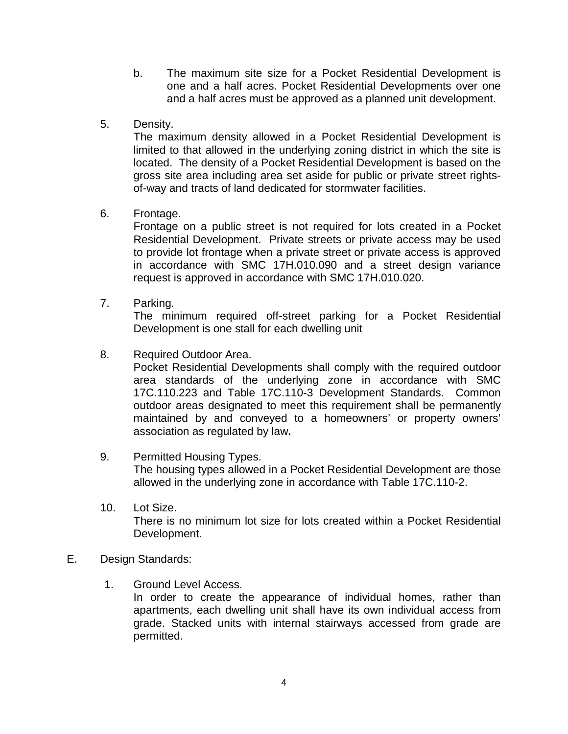- b. The maximum site size for a Pocket Residential Development is one and a half acres. Pocket Residential Developments over one and a half acres must be approved as a planned unit development.
- 5. Density.

The maximum density allowed in a Pocket Residential Development is limited to that allowed in the underlying zoning district in which the site is located. The density of a Pocket Residential Development is based on the gross site area including area set aside for public or private street rightsof-way and tracts of land dedicated for stormwater facilities.

6. Frontage.

Frontage on a public street is not required for lots created in a Pocket Residential Development. Private streets or private access may be used to provide lot frontage when a private street or private access is approved in accordance with SMC 17H.010.090 and a street design variance request is approved in accordance with SMC 17H.010.020.

7. Parking.

The minimum required off-street parking for a Pocket Residential Development is one stall for each dwelling unit

8. Required Outdoor Area.

Pocket Residential Developments shall comply with the required outdoor area standards of the underlying zone in accordance with SMC 17C.110.223 and Table 17C.110-3 Development Standards. Common outdoor areas designated to meet this requirement shall be permanently maintained by and conveyed to a homeowners' or property owners' association as regulated by law**.**

- 9. Permitted Housing Types. The housing types allowed in a Pocket Residential Development are those allowed in the underlying zone in accordance with Table 17C.110-2.
- 10. Lot Size. There is no minimum lot size for lots created within a Pocket Residential Development.
- E. Design Standards:
	- 1. Ground Level Access.

In order to create the appearance of individual homes, rather than apartments, each dwelling unit shall have its own individual access from grade. Stacked units with internal stairways accessed from grade are permitted.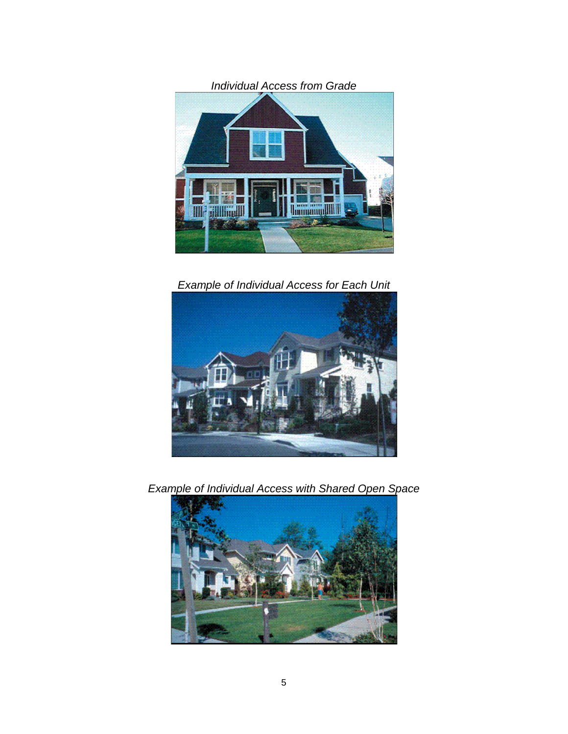

*Example of Individual Access for Each Unit*



*Example of Individual Access with Shared Open Space*

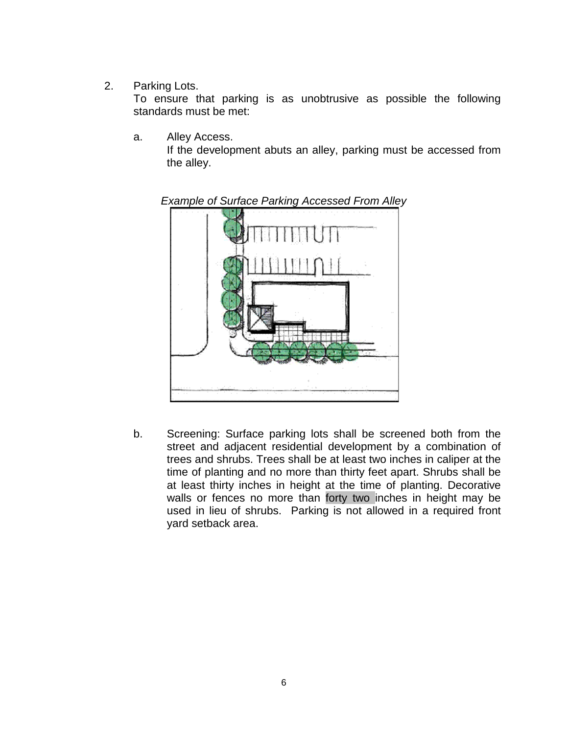2. Parking Lots.

To ensure that parking is as unobtrusive as possible the following standards must be met:

a. Alley Access. If the development abuts an alley, parking must be accessed from the alley.



*Example of Surface Parking Accessed From Alley*

b. Screening: Surface parking lots shall be screened both from the street and adjacent residential development by a combination of trees and shrubs. Trees shall be at least two inches in caliper at the time of planting and no more than thirty feet apart. Shrubs shall be at least thirty inches in height at the time of planting. Decorative walls or fences no more than forty two inches in height may be used in lieu of shrubs. Parking is not allowed in a required front yard setback area.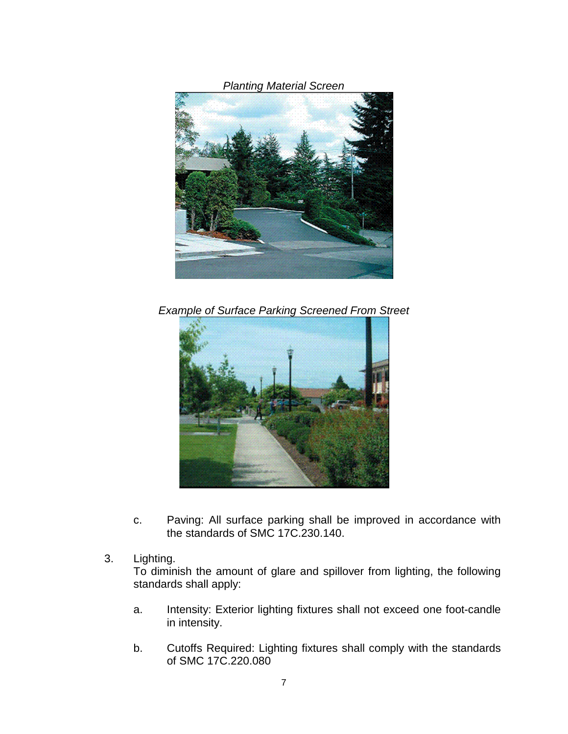*Planting Material Screen*



*Example of Surface Parking Screened From Street*



- c. Paving: All surface parking shall be improved in accordance with the standards of SMC 17C.230.140.
- 3. Lighting.

To diminish the amount of glare and spillover from lighting, the following standards shall apply:

- a. Intensity: Exterior lighting fixtures shall not exceed one foot-candle in intensity.
- b. Cutoffs Required: Lighting fixtures shall comply with the standards of SMC 17C.220.080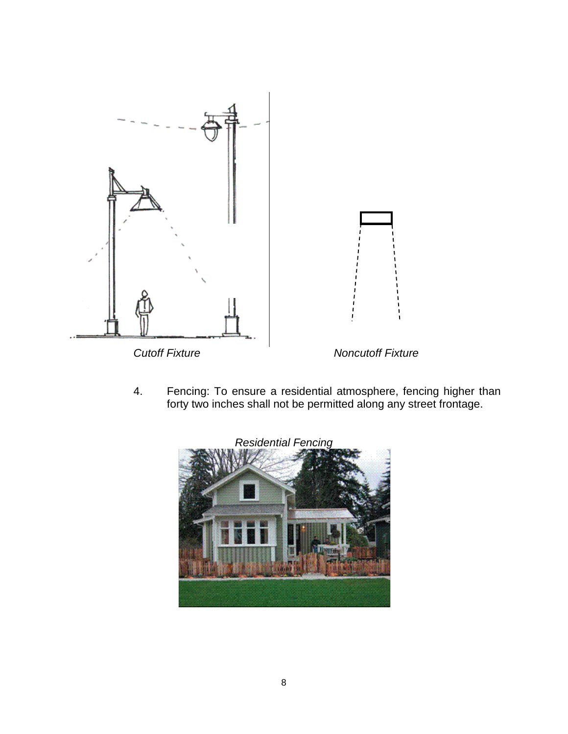

4. Fencing: To ensure a residential atmosphere, fencing higher than forty two inches shall not be permitted along any street frontage.

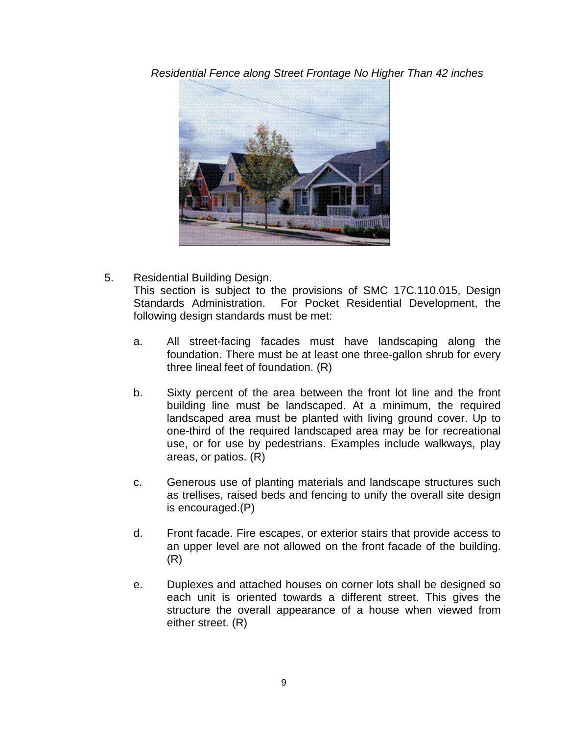*Residential Fence along Street Frontage No Higher Than 42 inches*



- 5. Residential Building Design. This section is subject to the provisions of SMC 17C.110.015, Design Standards Administration. For Pocket Residential Development, the following design standards must be met:
	- a. All street-facing facades must have landscaping along the foundation. There must be at least one three-gallon shrub for every three lineal feet of foundation. (R)
	- b. Sixty percent of the area between the front lot line and the front building line must be landscaped. At a minimum, the required landscaped area must be planted with living ground cover. Up to one-third of the required landscaped area may be for recreational use, or for use by pedestrians. Examples include walkways, play areas, or patios. (R)
	- c. Generous use of planting materials and landscape structures such as trellises, raised beds and fencing to unify the overall site design is encouraged.(P)
	- d. Front facade. Fire escapes, or exterior stairs that provide access to an upper level are not allowed on the front facade of the building. (R)
	- e. Duplexes and attached houses on corner lots shall be designed so each unit is oriented towards a different street. This gives the structure the overall appearance of a house when viewed from either street. (R)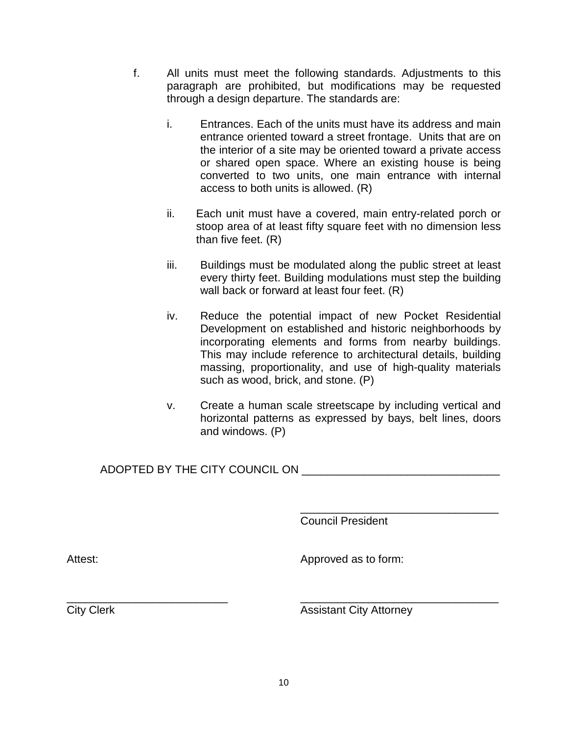- f. All units must meet the following standards. Adjustments to this paragraph are prohibited, but modifications may be requested through a design departure. The standards are:
	- i. Entrances. Each of the units must have its address and main entrance oriented toward a street frontage. Units that are on the interior of a site may be oriented toward a private access or shared open space. Where an existing house is being converted to two units, one main entrance with internal access to both units is allowed. (R)
	- ii. Each unit must have a covered, main entry-related porch or stoop area of at least fifty square feet with no dimension less than five feet. (R)
	- iii. Buildings must be modulated along the public street at least every thirty feet. Building modulations must step the building wall back or forward at least four feet. (R)
	- iv. Reduce the potential impact of new Pocket Residential Development on established and historic neighborhoods by incorporating elements and forms from nearby buildings. This may include reference to architectural details, building massing, proportionality, and use of high-quality materials such as wood, brick, and stone. (P)
	- v. Create a human scale streetscape by including vertical and horizontal patterns as expressed by bays, belt lines, doors and windows. (P)

## ADOPTED BY THE CITY COUNCIL ON  $\blacksquare$

\_\_\_\_\_\_\_\_\_\_\_\_\_\_\_\_\_\_\_\_\_\_\_\_\_\_\_\_\_\_\_\_ Council President

Attest: Attest: Approved as to form:

\_\_\_\_\_\_\_\_\_\_\_\_\_\_\_\_\_\_\_\_\_\_\_\_\_\_ \_\_\_\_\_\_\_\_\_\_\_\_\_\_\_\_\_\_\_\_\_\_\_\_\_\_\_\_\_\_\_\_

**City Clerk Assistant City Attorney**